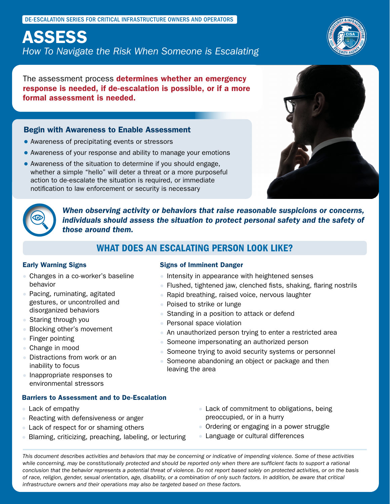DE-ESCALATION SERIES FOR CRITICAL INFRASTRUCTURE OWNERS AND OPERATORS

# ASSESS

*How To Navigate the Risk When Someone is Escalating*

The assessment process **determines whether an emergency** response is needed, if de-escalation is possible, or if a more formal assessment is needed.

### Begin with Awareness to Enable Assessment

- Awareness of precipitating events or stressors
- Awareness of your response and ability to manage your emotions
- Awareness of the situation to determine if you should engage, whether a simple "hello" will deter a threat or a more purposeful action to de-escalate the situation is required, or immediate notification to law enforcement or security is necessary





*When observing activity or behaviors that raise reasonable suspicions or concerns, individuals should assess the situation to protect personal safety and the safety of those around them.*

## WHAT DOES AN ESCALATING PERSON LOOK LIKE?

### Early Warning Signs

- Changes in a co-worker's baseline behavior
- Pacing, ruminating, agitated gestures, or uncontrolled and disorganized behaviors
- Staring through you
- Blocking other's movement
- Finger pointing
- Change in mood
- Distractions from work or an inability to focus
- Inappropriate responses to environmental stressors

### Barriers to Assessment and to De-Escalation

- Lack of empathy
- Reacting with defensiveness or anger
- Lack of respect for or shaming others
- Blaming, criticizing, preaching, labeling, or lecturing
- Flushed, tightened jaw, clenched fists, shaking, flaring nostrils
- Rapid breathing, raised voice, nervous laughter

● Intensity in appearance with heightened senses

● Poised to strike or lunge

Signs of Imminent Danger

- Standing in a position to attack or defend
- Personal space violation
- An unauthorized person trying to enter a restricted area
- Someone impersonating an authorized person
- Someone trying to avoid security systems or personnel
- Someone abandoning an object or package and then leaving the area
	- Lack of commitment to obligations, being preoccupied, or in a hurry
	- Ordering or engaging in a power struggle
	- Language or cultural differences

*This document describes activities and behaviors that may be concerning or indicative of impending violence. Some of these activities*  while concerning, may be constitutionally protected and should be reported only when there are sufficient facts to support a rational *conclusion that the behavior represents a potential threat of violence. Do not report based solely on protected activities, or on the basis of race, religion, gender, sexual orientation, age, disability, or a combination of only such factors. In addition, be aware that critical infrastructure owners and their operations may also be targeted based on these factors.*